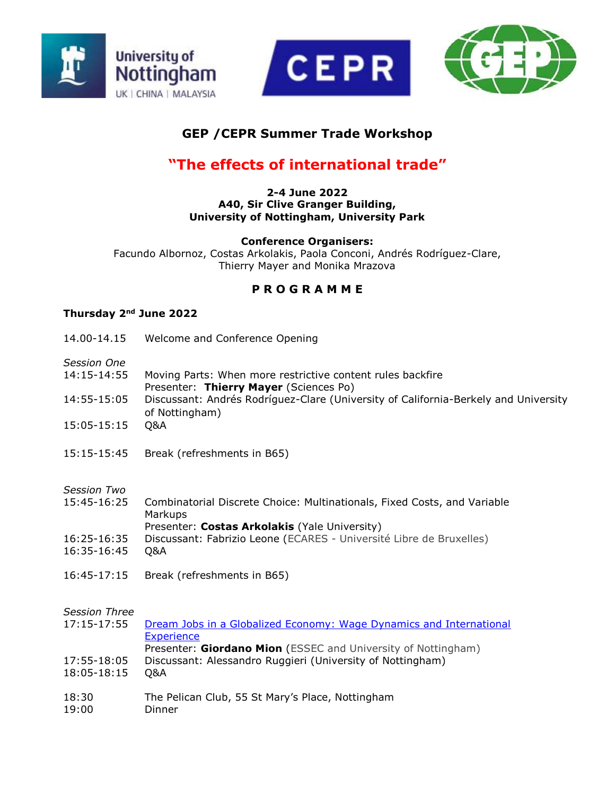





## **GEP /CEPR Summer Trade Workshop**

# **"The effects of international trade"**

#### **2-4 June 2022 A40, Sir Clive Granger Building, University of Nottingham, University Park**

**Conference Organisers:** Facundo Albornoz, Costas Arkolakis, Paola Conconi, Andrés Rodríguez-Clare, Thierry Mayer and Monika Mrazova

## **P R O G R A M M E**

#### **Thursday 2nd June 2022**

- 14.00-14.15 Welcome and Conference Opening
- *Session One*
- 14:15-14:55 Moving Parts: When more restrictive content rules backfire Presenter: **Thierry Mayer** (Sciences Po)
- 14:55-15:05 Discussant: Andrés Rodríguez-Clare (University of California-Berkely and University of Nottingham)
- 15:05-15:15 Q&A
- 15:15-15:45 Break (refreshments in B65)

#### *Session Two*

- 15:45-16:25 Combinatorial Discrete Choice: Multinationals, Fixed Costs, and Variable Markups Presenter: **Costas Arkolakis** (Yale University)
- 16:25-16:35 Discussant: Fabrizio Leone (ECARES Université Libre de Bruxelles)
- 16:35-16:45 Q&A
- 16:45-17:15 Break (refreshments in B65)

#### *Session Three*

| 17:15-17:55 | Dream Jobs in a Globalized Economy: Wage Dynamics and International |
|-------------|---------------------------------------------------------------------|
|             | <b>Experience</b>                                                   |
|             | Presenter: Giordano Mion (ESSEC and University of Nottingham)       |
| 17:55-18:05 | Discussant: Alessandro Ruggieri (University of Nottingham)          |
| 18:05-18:15 | O&A                                                                 |
|             |                                                                     |
| 18:30       | The Pelican Club, 55 St Mary's Place, Nottingham                    |
| 19:00       | Dinner                                                              |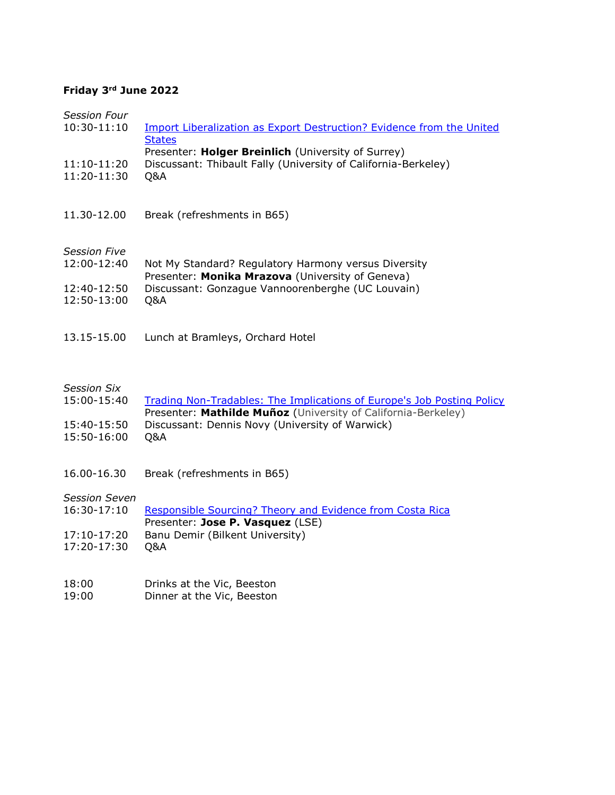### **Friday 3rd June 2022**

| <b>Session Four</b><br>$10:30-11:10$ | <b>Import Liberalization as Export Destruction? Evidence from the United</b>                                                            |
|--------------------------------------|-----------------------------------------------------------------------------------------------------------------------------------------|
|                                      | <b>States</b><br>Presenter: Holger Breinlich (University of Surrey)                                                                     |
| 11:10-11:20                          | Discussant: Thibault Fally (University of California-Berkeley)                                                                          |
| 11:20-11:30                          | Q&A                                                                                                                                     |
| 11.30-12.00                          | Break (refreshments in B65)                                                                                                             |
| <b>Session Five</b>                  |                                                                                                                                         |
| 12:00-12:40                          | Not My Standard? Regulatory Harmony versus Diversity<br>Presenter: Monika Mrazova (University of Geneva)                                |
| 12:40-12:50                          | Discussant: Gonzague Vannoorenberghe (UC Louvain)                                                                                       |
| 12:50-13:00                          | Q&A                                                                                                                                     |
| 13.15-15.00                          | Lunch at Bramleys, Orchard Hotel                                                                                                        |
|                                      |                                                                                                                                         |
| <b>Session Six</b>                   |                                                                                                                                         |
| 15:00-15:40                          | Trading Non-Tradables: The Implications of Europe's Job Posting Policy<br>Presenter: Mathilde Muñoz (University of California-Berkeley) |
| 15:40-15:50                          | Discussant: Dennis Novy (University of Warwick)                                                                                         |
| 15:50-16:00                          | Q&A                                                                                                                                     |
| 16.00-16.30                          | Break (refreshments in B65)                                                                                                             |
| <b>Session Seven</b>                 |                                                                                                                                         |
| 16:30-17:10                          | Responsible Sourcing? Theory and Evidence from Costa Rica<br>Presenter: Jose P. Vasquez (LSE)                                           |
| 17:10-17:20                          | Banu Demir (Bilkent University)                                                                                                         |
| 17:20-17:30                          | Q&A                                                                                                                                     |
| 18:00                                | Drinks at the Vic, Beeston                                                                                                              |
| 19:00                                | Dinner at the Vic, Beeston                                                                                                              |